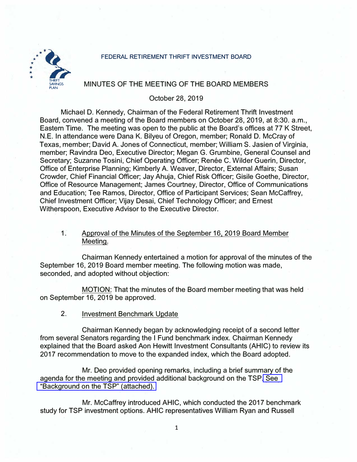#### FEDERAL RETIREMENT THRIFT INVESTMENT BOARD



# MINUTES OF THE MEETING OF THE BOARD MEMBERS

# October 28, 2019

Michael D. Kennedy, Chairman of the Federal Retirement Thrift Investment Board, convened a meeting of the Board members on October 28, 2019, at 8:30. a.m., Eastern Time. The meeting was open to the public at the Board's offices at 77 K Street, N.E. In attendance were Dana K. Bilyeu of Oregon, member; Ronald D. McCray of Texas, member; David A. Jones of Connecticut, member; William S. Jasien of Virginia, member; Ravindra Dea, Executive Director; Megan G. Grumbine, General Counsel and Secretary; Suzanne Tosini, Chief Operating Officer; Renée C. Wilder Guerin, Director, Office of Enterprise Planning; Kimberly A. Weaver, Director, External Affairs; Susan Crowder, Chief Financial Officer; Jay Ahuja, Chief Risk Officer; Gisile Goethe, Director, Office of Resource Management; James Courtney, Director, Office of Communications and Education; Tee Ramos, Director, Office of Participant Services; Sean Mccaffrey, Chief Investment Officer; Vijay Desai, Chief Technology Officer; and Ernest Witherspoon, Executive Advisor to the Executive Director.

# 1. Approval of the Minutes of the September 16, 2019 Board Member Meeting.

Chairman Kennedy entertained a motion for approval of the minutes of the September 16, 2019 Board member meeting. The following motion was made, seconded, and adopted without objection:

MOTION: That the minutes of the Board member meeting that was held on September 16, 2019 be approved.

2. Investment Benchmark Update

Chairman Kennedy began by acknowledging receipt of a second letter . from several Senators regarding the I Fund benchmark index. Chairman Kennedy explained that the Board asked Aon Hewitt Investment Consultants (AHIC) to review its 2017 recommendation to move to the expanded index, which the Board adopted.

Mr. Dea provided opening remarks, including a brief summary of the agenda for the meeting and provided additional background on the TSP[. See](https://www.frtib.gov/pdf/minutes/2019/Oct/MM-2019Oct-Att1.pdf)  ["Background on the TSP" \(attached\).](https://www.frtib.gov/pdf/minutes/2019/Oct/MM-2019Oct-Att1.pdf) 

Mr. Mccaffrey introduced AHIC, which conducted the 2017 benchmark study for TSP investment options. AHIC representatives William Ryan and Russell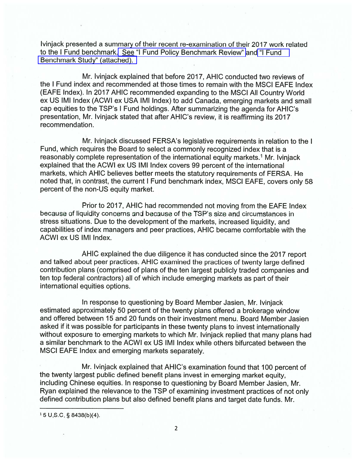Ivinjack presented a summary of their recent re-examination of their 2017 work related to the I Fund benchmark. See "I Fund Policy Benchmark Review" and "I Fund Benchmark Study" (attached).

Mr. Ivinjack explained that before 2017, AHIC conducted two reviews of the I Fund index and recommended at those times to remain with the MSCI EAFE Index (EAFE Index). In 2017 AHIC recommended expanding to the MSCI All Country World ex US IMI Index (ACWI ex USA IMI Index) to add Canada, emerging markets and small cap equities to the TSP's I Fund holdings. After summarizing the agenda for AHIC's presentation, Mr. Ivinjack stated that after AHIC's review, it is reaffirming its 2017 recommendation.

Mr. Ivinjack discussed FERSA's legislative requirements in relation to the I Fund, which requires the Board to select a commonly recognized index that is a reasonably complete representation of the international equity markets.<sup>1</sup> Mr. Ivinjack explained that the ACWI ex US IMI Index covers 99 percent of the international markets, which AHIC believes better meets the statutory requirements of FERSA. He noted that, in contrast, the current I Fund benchmark index, MSCI EAFE, covers only 58 percent of the non-US equity market.

Prior to 2017, AHIC had recommended not moving from the EAFE Index because of liquidity concerns and because of the TSP's size and circumstances in stress situations. Due to the development of the markets, increased liquidity, and capabilities of index managers and peer practices, AHIC became comfortable with the ACWI ex US IMI Index.

AHIC explained the due diligence it has conducted since the 2017 report and talked about peer practices. AHIC examined the practices of twenty large defined contribution plans (comprised of plans of the ten largest publicly traded companies and ten top federal contractors) all of which include emerging markets as part of their international equities options.

In response to questioning by Board Member Jasien, Mr. Ivinjack estimated approximately 50 percent of the twenty plans offered a brokerage window and offered between 15 and 20 funds on their investment menu. Board Member Jasien asked if it was possible for participants in these twenty plans to invest internationally without exposure to emerging markets to which Mr. Ivinjack replied that many plans had a similar benchmark to the ACWI ex US IMI Index while others bifurcated between the MSCI EAFE Index and emerging markets separately.

Mr. Ivinjack explained that AHIC's examination found that 100 percent of the twenty largest public defined benefit plans invest in emerging market equity. including Chinese equities. In response to questioning by Board Member Jasien, Mr. Ryan explained the relevance to the TSP of examining investment practices of not only defined contribution plans but also defined benefit plans and target date funds. Mr.

 $15$  U.S.C. § 8438(b)(4).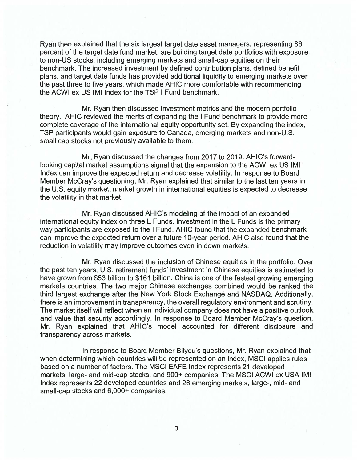Ryan then explained that the six largest target date asset managers, representing 86 percent of the target date fund market, are building target date portfolios with exposure to non-US stocks, including emerging markets and small-cap equities on their benchmark. The increased investment by defined contribution plans, defined benefit plans, and target date funds has provided additional liquidity to emerging markets over the past three to five years, which made AHIC more comfortable with recommending the ACWI ex US IMI Index for the TSP I Fund benchmark.

Mr. Ryan then discussed investment metrics and the modern portfolio theory. AHIC reviewed the merits of expanding the I Fund benchmark to provide more complete coverage of the international equity opportunity set. By expanding the index, TSP participants would gain exposure to Canada, emerging markets and non-U.S. small cap stocks not previously available to them.

Mr. Ryan discussed the changes from 2017 to 2019. AHIC's forwardlooking capital market assumptions signal that the expansion to the ACWI ex US IMI Index can improve the expected return and decrease volatility. In response to Board Member McCray's questioning, Mr. Ryan explained that similar to the last ten years in the U.S. equity market, market growth in international equities is expected to decrease the volatility in that market.

Mr. Ryan discussed AHIC's modeling of the impact of an expanded international equity index on three L Funds. Investment in the L Funds is the primary way participants are exposed to the I Fund. AHIC found that the expanded benchmark can improve the expected return over a future 10-year period. AHIC also found that the reduction in volatility may improve outcomes even in down markets.

Mr. Ryan discussed the inclusion of Chinese equities in the portfolio. Over the past ten years, U.S. retirement funds' investment in Chinese equities is estimated to have grown from \$53 billion to \$161 billion. China is one of the fastest growing emerging markets countries. The two major Chinese exchanges combined would be ranked the third largest exchange after the New York Stock Exchange and NASDAQ. Additionally, there is an improvement in transparency, the overall regulatory environment and scrutiny. The market itself will reflect when an individual company does not have a positive outlook and value that security accordingly. In response to Board Member McCray's question, Mr. Ryan explained that AHIC's model accounted for different disclosure and transparency across markets.

In response to Board Member Bilyeu's questions, Mr. Ryan explained that when determining which countries will be represented on an index, MSCI applies rules based on a number of factors. The MSCI EAFE Index represents 21 developed markets, large- and mid-cap stocks, and 900+ companies. The MSCI ACWI ex USA IMI Index represents 22 developed countries and 26 emerging markets, large-, mid- and small-cap stocks and 6,000+ companies.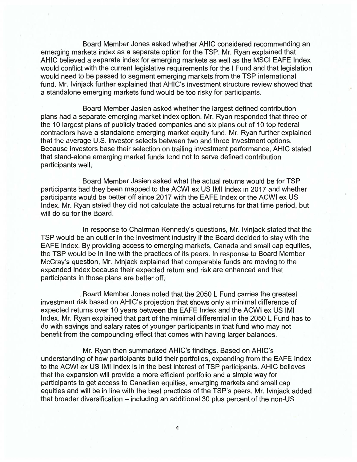Board Member Jones asked whether AHIC considered recommending an emerging markets index as a separate option for the TSP. Mr. Ryan explained that AHIC believed a separate index for emerging markets as well as the MSCI EAFE Index would conflict with the current legislative requirements for the I Fund and that legislation would need to be passed to segment emerging markets from the TSP international fund. Mr. Ivinjack further explained that AHIC's investment structure review showed that a standalone emerging markets fund would be too risky for participants.

Board Member Jasien asked whether the largest defined contribution plans had a separate emerging market index option. Mr. Ryan responded that three of the 10 largest plans of publicly traded companies and six plans out of 10 top federal contractors have a standalone emerging market equity fund. Mr. Ryan further explained that the average U.S. investor selects between two and three investment options. Because investors base their selection on trailing investment performance, AHIC stated that stand-alone emerging market funds tend not to serve defined contribution participants well.

Board Member Jasien asked what the actual returns would be for TSP participants had they been mapped to the ACWI ex US IMI Index in 2017 and whether participants would be better off since 2017 with the EAFE Index or the ACWI ex US Index. Mr. Ryan stated they did not calculate the actual returns for that time period, but will do so for the Board.

In response to Chairman Kennedy's questions, Mr. Ivinjack stated that the TSP would be an outlier in the investment industry if the Board decided to stay with the EAFE Index. By providing access to emerging markets, Canada and small cap equities, the TSP would be in line with the practices of its peers. In response to Board Member McCray's question, Mr. Ivinjack explained that comparable funds are moving to the expanded index because their expected return and risk are enhanced and that participants in those plans are better off.

Board Member Jones noted that the 2050 L Fund carries the greatest investment risk based on AHIC's projection that shows only a minimal difference of expected returns over 10 years between the EAFE Index and the ACWI ex US IMI Index. Mr. Ryan explained that part of the minimal differential in the 2050 L Fund has to do with savings and salary rates of younger participants in that fund who may not benefit from the compounding effect that comes with having larger balances.

Mr. Ryan then summarized AHIC's findings. Based on AHIC's understanding of how participants build their portfolios, expanding from the EAFE Index to the ACWI ex US IMI Index is in the best interest of TSP participants. AHIC believes that the expansion will provide a more efficient portfolio and a simple way for participants to get access to Canadian equities, emerging markets and small cap equities and will be in line with the best practices of the TSP's peers. Mr. Ivinjack added that broader diversification - including an additional 30 plus percent of the non-US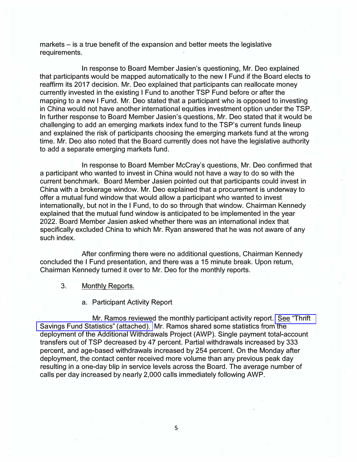markets – is a true benefit of the expansion and better meets the legislative requirements.

In response to Board Member Jasien's questioning, Mr. Deo explained that participants would be mapped automatically to the new I Fund if the Board elects to reaffirm its 2017 decision. Mr. Deo explained that participants can reallocate money currently invested in the existing I Fund to another TSP Fund before or after the mapping to a new I Fund. Mr. Deo stated that a participant who is opposed to investing in China would not have another international equities investment option under the TSP. In further response to Board Member Jasien's questions, Mr. Deo stated that it would be challenging to add an emerging markets index fund to the TSP's current funds lineup and explained the risk of participants choosing the emerging markets fund at the wrong time. Mr. Deo also noted that the Board currently does not have the legislative authority to add a separate emerging markets fund.

In response to Board Member McCray's questions, Mr. Deo confirmed that a participant who wanted to invest in China would not have a way to do so with the current benchmark. Board Member Jasien pointed out that participants could invest in China with a brokerage window. Mr. Deo explained that a procurement is underway to offer a mutual fund window that would allow a participant who wanted to invest internationally, but not in the I Fund, to do so through that window. Chairman Kennedy explained that the mutual fund window is anticipated to be implemented in the year 2022. Board Member Jasien asked whether there was an international index that specifically excluded China to which Mr. Ryan answered that he was not aware of any such index.

After confirming there were no additional questions, Chairman Kennedy concluded the I Fund presentation, and there was a 15 minute break. Upon return, Chairman Kennedy turned it over to Mr. Deo for the monthly reports.

## 3. Monthly Reports.

#### a. Participant Activity Report

Mr. Ramos reviewed the monthly participant activity report. [See 'Thrift](https://www.frtib.gov/pdf/minutes/2019/Oct/MM-2019Oct-Att4.pdf) [Savings Fund Statistics" \(attached\).](https://www.frtib.gov/pdf/minutes/2019/Oct/MM-2019Oct-Att4.pdf) Mr. Ramos shared some statistics from the deployment of the Additional Withdrawals Project (AWP). Single payment total-account transfers out of TSP decreased by 47 percent. Partial withdrawals increased by 333 percent, and age-based withdrawals increased by 254 percent. On the Monday after deployment, the contact center received more volume than any previous peak day resulting in a one-day blip in service levels across the Board. The average number of calls per day increased by nearly 2,000 calls immediately following AWP.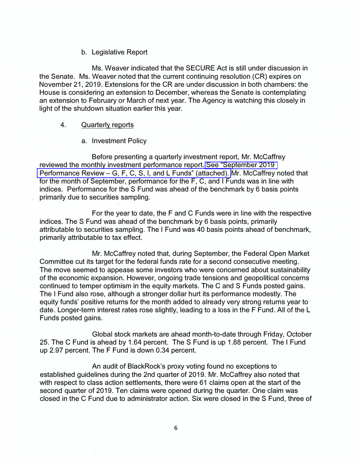#### b. Legislative Report

Ms. Weaver indicated that the SECURE Act is still under discussion in the Senate. Ms. Weaver noted that the current continuing resolution (CR) expires on November 21, 2019. Extensions for the CR are under discussion in both chambers: the House is considering an extension to December, whereas the Senate is contemplating an extension to February or March of next year. The Agency is watching this closely in light of the shutdown situation earlier this year.

#### 4. Quarterly reports

#### a. Investment Policy

Before presenting a quarterly investment report, Mr. McCaffrey reviewed the monthly investment performance report. [See "September 2019](https://www.frtib.gov/pdf/minutes/2019/Oct/MM-2019Oct-Att5.pdf)  Performance Review – [G, F, C, S, I, and L Funds" \(attached\).](https://www.frtib.gov/pdf/minutes/2019/Oct/MM-2019Oct-Att5.pdf) Mr. McCaffrey noted that for the month of September, performance for the F, C, and I Funds was in line with indices. Performance for the S Fund was ahead of the benchmark by 6 basis points primarily due to securities sampling.

For the year to date, the F and C Funds were in line with the respective indices. The S Fund was ahead of the benchmark by 6 basis points, primarily attributable to securities sampling. The I Fund was 40 basis points ahead of benchmark, primarily attributable to tax effect.

Mr. McCaffrey noted that, during September, the Federal Open Market Committee cut its target for the federal funds rate for a second consecutive meeting. The move seemed to appease some investors who were concerned about sustainability of the economic expansion. However, ongoing trade tensions and geopolitical concerns continued to temper optimism in the equity markets. The C and S Funds posted gains. The I Fund also rose, although a stronger dollar hurt its performance modestly. The equity funds' positive returns for the month added to already very strong returns year to date. Longer-term interest rates rose slightly, leading to a loss in the F Fund. All of the L Funds posted gains.

Global stock markets are ahead month-to-date through Friday, October 25. The C Fund is ahead by 1.64 percent. The S Fund is up 1.88 percent. The I Fund up 2.97 percent. The F Fund is down 0.34 percent.

An audit of BlackRock's proxy voting found no exceptions to established guidelines during the 2nd quarter of 2019. Mr. McCaffrey also noted that with respect to class action settlements, there were 61 claims open at the start of the second quarter of 2019. Ten claims were opened during the quarter. One claim was closed in the C Fund due to administrator action. Six were closed in the S Fund, three of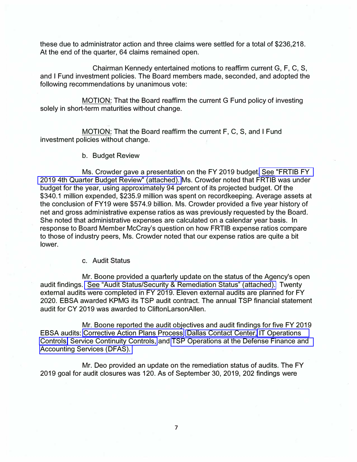these due to administrator action and three claims were settled for a total of \$236,218. At the end of the quarter, 64 claims remained open.

Chairman Kennedy entertained motions to reaffirm current G, F, C, S, and I Fund investment policies. The Board members made, seconded, and adopted the following recommendations by unanimous vote:

MOTION: That the Board reaffirm the current G Fund policy of investing solely in short-term maturities without change.

MOTION: That the Board reaffirm the current F, C, S, and I Fund investment policies without change.

b. Budget Review

Ms. Crowder gave a presentation on the FY 2019 budget[. See "FRTIB FY](https://www.frtib.gov/pdf/minutes/2019/Oct/MM-2019Oct-Att6.pdf)  [2019 4th Quarter Budget Review" \(attached\).](https://www.frtib.gov/pdf/minutes/2019/Oct/MM-2019Oct-Att6.pdf) Ms. Crowder noted that FRTIB was under budget for the year, using approximately 94 percent of its projected budget. Of the \$340.1 million expended, \$235.9 million was spent on recordkeeping. Average assets at the conclusion of FY19 were \$574.9 billion. Ms. Crowder provided a five year history of net and gross administrative expense ratios as was previously requested by the Board. She noted that administrative expenses are calculated on a calendar year basis. In response to Board Member McCray's question on how FRTIB expense ratios compare to those of industry peers, Ms. Crowder noted that our expense ratios are quite a bit lower.

### c. Audit Status

Mr. Boone provided a quarterly update on the status of the Agency's open audit findings. [See "Audit Status/Security & Remediation Status" \(attached\).](https://www.frtib.gov/pdf/minutes/2019/Oct/MM-2019Oct-Att7.pdf) Twenty external audits were completed in FY 2019. Eleven external audits are planned for FY 2020. EBSA awarded KPMG its TSP audit contract. The annual TSP financial statement audit for CY 2019 was awarded to CliftonlarsonAllen.

Mr. Boone reported the audit objectives and audit findings for five FY 2019 EBSA audits: [Corrective Action Plans Process;](https://www.frtib.gov/pdf/minutes/2019/Oct/MM-2019Oct-Att10.pdf) [Dallas Contact Center,](https://www.frtib.gov/pdf/minutes/2019/Oct/MM-2019Oct-Att11.pdf) [IT Operations](https://www.frtib.gov/pdf/minutes/2019/Oct/MM-2019Oct-Att8.pdf)  [Controls,](https://www.frtib.gov/pdf/minutes/2019/Oct/MM-2019Oct-Att8.pdf) [Service Continuity Controls,](https://www.frtib.gov/pdf/minutes/2019/Oct/MM-2019Oct-Att9.pdf) and [TSP Operations at the Defense Finance and](https://www.frtib.gov/pdf/minutes/2019/Oct/MM-2019Oct-Att12.pdf)  [Accounting Services \(DFAS\).](https://www.frtib.gov/pdf/minutes/2019/Oct/MM-2019Oct-Att12.pdf) 

Mr. Deo provided an update on the remediation status of audits. The FY 2019 goal for audit closures was 120. As of September 30, 2019, 202 findings were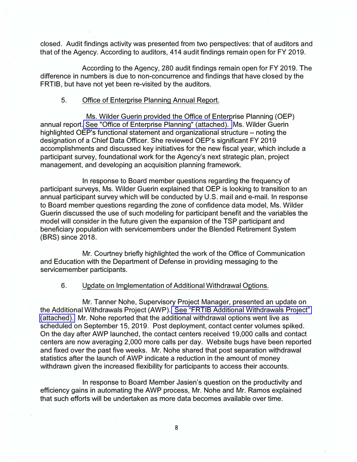closed. Audit findings activity was presented from two perspectives: that of auditors and that of the Agency. According to auditors, 414 audit findings remain open for FY 2019.

According to the Agency, 280 audit findings remain open for FY 2019. The difference in numbers is due to non-concurrence and findings that have closed by the FRTIB, but have not yet been re-visited by the auditors.

#### **5.** Office of Enterprise Planning Annual Report.

Ms. Wilder Guerin provided the Office of Enterprise Planning (OEP) annual report. [See "Office of Enterprise Planning" \(attached\).](https://www.frtib.gov/pdf/minutes/2019/Oct/MM-2019Oct-Att13.pdf) Ms. Wilder Guerin highlighted OEP's functional statement and organizational structure  $-$  noting the designation of a Chief Data Officer. She reviewed OEP's significant FY 2019 accomplishments and discussed key initiatives for the new fiscal year, which include a participant survey, foundational work for the Agency's next strategic plan, project management, and developing an acquisition planning framework.

In response to Board member questions regarding the frequency of participant surveys, Ms. Wilder Guerin explained that OEP is looking to transition to an annual participant survey which will be conducted by U.S. mail and e-mail. In response to Board member questions regarding the zone of confidence data model, Ms. Wilder Guerin discussed the use of such modeling for participant benefit and the variables the model will consider in the future given the expansion of the TSP participant and beneficiary population with servicemembers under the Blended Retirement System (BRS) since 2018.

Mr. Courtney briefly highlighted the work of the Office of Communication and Education with the Department of Defense in providing messaging to the servicemember participants.

#### 6. Update on Implementation of Additional Withdrawal Options.

Mr. Tanner Nohe, Supervisory Project Manager, presented an update on the Additional Withdrawals Project (AWP). [See "FRTIB Additional Withdrawals Project"](https://www.frtib.gov/pdf/minutes/2019/Oct/MM-2019Oct-Att14.pdf)  [\(attached\).](https://www.frtib.gov/pdf/minutes/2019/Oct/MM-2019Oct-Att14.pdf) Mr. Nohe reported that the additional withdrawal options went live as scheduled on September 15, 2019. Post deployment, contact center volumes spiked. On the day after AWP launched, the contact centers received 19,000 calls and contact centers are now averaging 2,000 more calls per day. Website bugs have been reported and fixed over the past five weeks. Mr. Nohe shared that post separation withdrawal statistics after the launch of AWP indicate a reduction in the amount of money withdrawn given the increased flexibility for participants to access their accounts.

In response to Board Member Jasien's question on the productivity and efficiency gains in automating the AWP process, Mr. Nohe and Mr. Ramos explained that such efforts will be undertaken as more data becomes available over time.